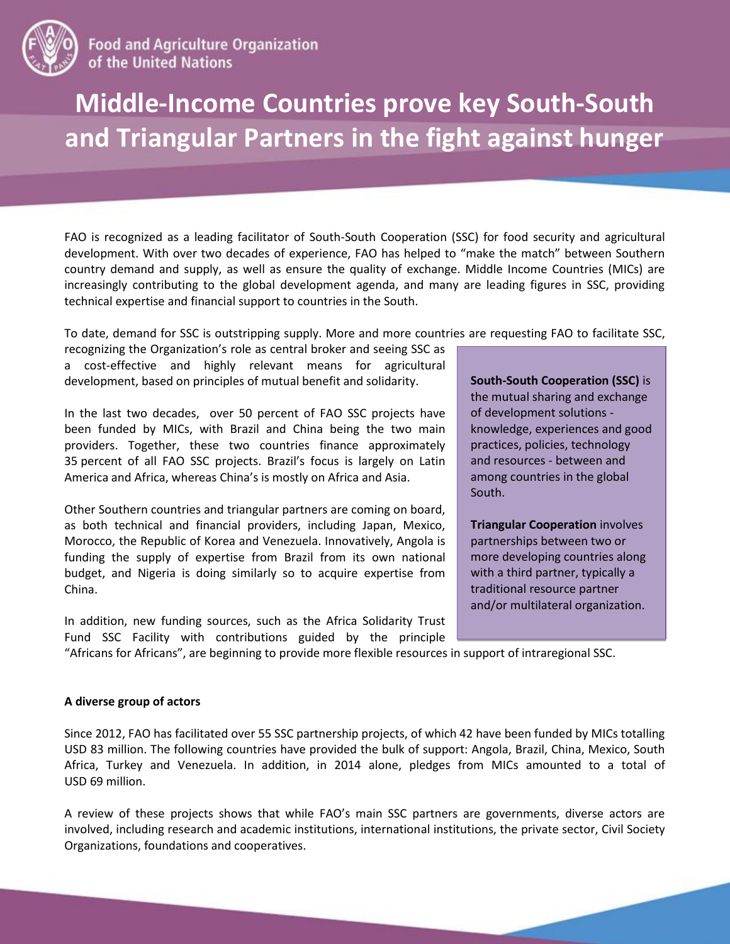

**Food and Agriculture Organization** of the United Nations

## **Middle-Income Countries prove key South-South and Triangular Partners in the fight against hunger**

FAO is recognized as a leading facilitator of South-South Cooperation (SSC) for food security and agricultural development. With over two decades of experience, FAO has helped to "make the match" between Southern country demand and supply, as well as ensure the quality of exchange. Middle Income Countries (MICs) are increasingly contributing to the global development agenda, and many are leading figures in SSC, providing technical expertise and financial support to countries in the South.

To date, demand for SSC is outstripping supply. More and more countries are requesting FAO to facilitate SSC,

recognizing the Organization's role as central broker and seeing SSC as a cost-effective and highly relevant means for agricultural development, based on principles of mutual benefit and solidarity.

In the last two decades, over 50 percent of FAO SSC projects have been funded by MICs, with Brazil and China being the two main providers. Together, these two countries finance approximately 35 percent of all FAO SSC projects. Brazil's focus is largely on Latin America and Africa, whereas China's is mostly on Africa and Asia.

Other Southern countries and triangular partners are coming on board, as both technical and financial providers, including Japan, Mexico, Morocco, the Republic of Korea and Venezuela. Innovatively, Angola is funding the supply of expertise from Brazil from its own national budget, and Nigeria is doing similarly so to acquire expertise from China.

In addition, new funding sources, such as the Africa Solidarity Trust Fund SSC Facility with contributions guided by the principle **South-South Cooperation (SSC)** is the mutual sharing and exchange of development solutions knowledge, experiences and good practices, policies, technology and resources - between and among countries in the global South.

**Triangular Cooperation** involves partnerships between two or more developing countries along with a third partner, typically a traditional resource partner and/or multilateral organization.

"Africans for Africans", are beginning to provide more flexible resources in support of intraregional SSC.

## **A diverse group of actors**

Since 2012, FAO has facilitated over 55 SSC partnership projects, of which 42 have been funded by MICs totalling USD 83 million. The following countries have provided the bulk of support: Angola, Brazil, China, Mexico, South Africa, Turkey and Venezuela. In addition, in 2014 alone, pledges from MICs amounted to a total of USD 69 million.

A review of these projects shows that while FAO's main SSC partners are governments, diverse actors are involved, including research and academic institutions, international institutions, the private sector, Civil Society Organizations, foundations and cooperatives.